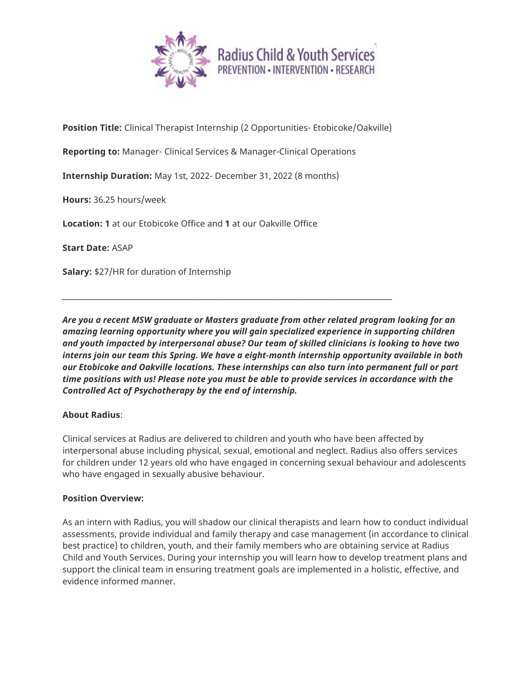

**Position Title:** Clinical Therapist Internship (2 Opportunities- Etobicoke/Oakville)

*\_\_\_\_\_\_\_\_\_\_\_\_\_\_\_\_\_\_\_\_\_\_\_\_\_\_\_\_\_\_\_\_\_\_\_\_\_\_\_\_\_\_\_\_\_\_\_\_\_\_\_\_\_\_\_\_\_\_\_\_\_\_\_\_\_\_\_\_\_\_\_\_\_\_\_\_\_\_\_\_\_\_\_\_\_\_\_\_\_\_\_\_\_\_\_*

**Reporting to:** Manager- Clinical Services & Manager-Clinical Operations

**Internship Duration:** May 1st, 2022- December 31, 2022 (8 months)

**Hours:** 36.25 hours/week

**Location: 1** at our Etobicoke Office and **1** at our Oakville Office

**Start Date:** ASAP

**Salary:** \$27/HR for duration of Internship

*Are you a recent MSW graduate or Masters graduate from other related program looking for an amazing learning opportunity where you will gain specialized experience in supporting children and youth impacted by interpersonal abuse? Our team of skilled clinicians is looking to have two interns join our team this Spring. We have a eight-month internship opportunity available in both our Etobicoke and Oakville locations. These internships can also turn into permanent full or part time positions with us! Please note you must be able to provide services in accordance with the Controlled Act of Psychotherapy by the end of internship.*

## **About Radius**:

Clinical services at Radius are delivered to children and youth who have been affected by interpersonal abuse including physical, sexual, emotional and neglect. Radius also offers services for children under 12 years old who have engaged in concerning sexual behaviour and adolescents who have engaged in sexually abusive behaviour.

#### **Position Overview:**

As an intern with Radius, you will shadow our clinical therapists and learn how to conduct individual assessments, provide individual and family therapy and case management (in accordance to clinical best practice) to children, youth, and their family members who are obtaining service at Radius Child and Youth Services. During your internship you will learn how to develop treatment plans and support the clinical team in ensuring treatment goals are implemented in a holistic, effective, and evidence informed manner.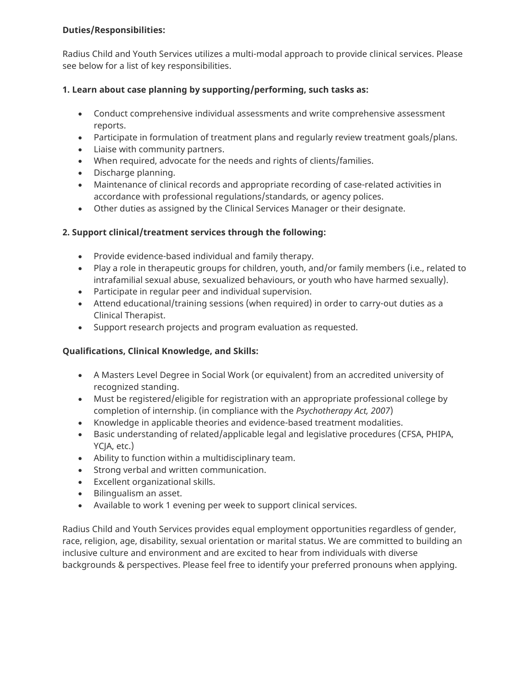### **Duties/Responsibilities:**

Radius Child and Youth Services utilizes a multi-modal approach to provide clinical services. Please see below for a list of key responsibilities.

## **1. Learn about case planning by supporting/performing, such tasks as:**

- Conduct comprehensive individual assessments and write comprehensive assessment reports.
- Participate in formulation of treatment plans and regularly review treatment goals/plans.
- Liaise with community partners.
- When required, advocate for the needs and rights of clients/families.
- Discharge planning.
- Maintenance of clinical records and appropriate recording of case-related activities in accordance with professional regulations/standards, or agency polices.
- Other duties as assigned by the Clinical Services Manager or their designate.

# **2. Support clinical/treatment services through the following:**

- Provide evidence-based individual and family therapy.
- Play a role in therapeutic groups for children, youth, and/or family members (i.e., related to intrafamilial sexual abuse, sexualized behaviours, or youth who have harmed sexually).
- Participate in regular peer and individual supervision.
- Attend educational/training sessions (when required) in order to carry-out duties as a Clinical Therapist.
- Support research projects and program evaluation as requested.

## **Qualifications, Clinical Knowledge, and Skills:**

- A Masters Level Degree in Social Work (or equivalent) from an accredited university of recognized standing.
- Must be registered/eligible for registration with an appropriate professional college by completion of internship. (in compliance with the *Psychotherapy Act, 2007*)
- Knowledge in applicable theories and evidence-based treatment modalities.
- Basic understanding of related/applicable legal and legislative procedures (CFSA, PHIPA, YCJA, etc.)
- Ability to function within a multidisciplinary team.
- Strong verbal and written communication.
- Excellent organizational skills.
- Bilingualism an asset.
- Available to work 1 evening per week to support clinical services.

Radius Child and Youth Services provides equal employment opportunities regardless of gender, race, religion, age, disability, sexual orientation or marital status. We are committed to building an inclusive culture and environment and are excited to hear from individuals with diverse backgrounds & perspectives. Please feel free to identify your preferred pronouns when applying.